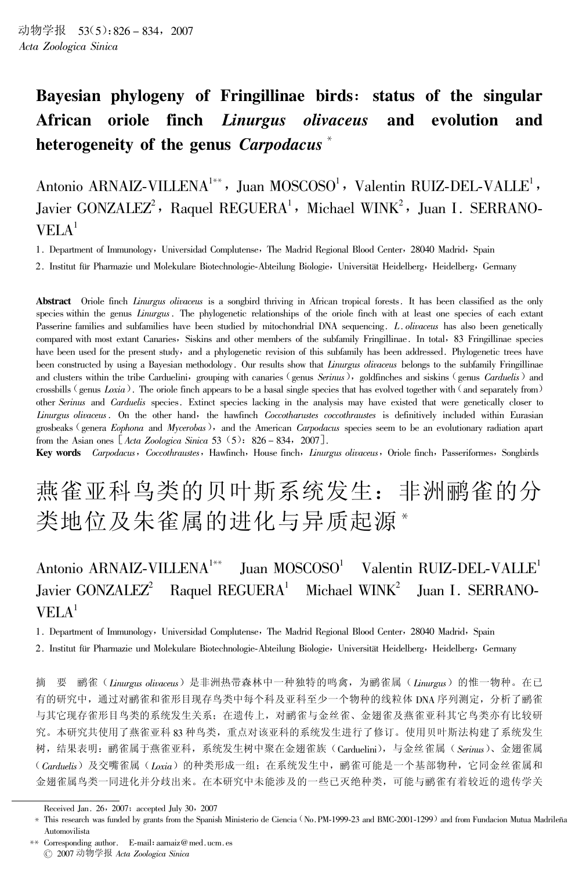#### Bayesian phylogeny of Fringillinae birds: status of the singular Linurgus olivaceus oriole finch **African** and evolution and heterogeneity of the genus Carpodacus<sup>\*</sup>

Antonio ARNAIZ-VILLENA<sup>1\*\*</sup>, Juan MOSCOSO<sup>1</sup>, Valentin RUIZ-DEL-VALLE<sup>1</sup>, Javier GONZALEZ<sup>2</sup>, Raquel REGUERA<sup>1</sup>, Michael WINK<sup>2</sup>, Juan I. SERRANO- $VELA<sup>1</sup>$ 

1. Department of Immunology, Universidad Complutense, The Madrid Regional Blood Center, 28040 Madrid, Spain

2. Institut für Pharmazie und Molekulare Biotechnologie-Abteilung Biologie, Universität Heidelberg, Heidelberg, Germany

**Abstract** Oriole finch *Linurgus olivaceus* is a songbird thriving in African tropical forests. It has been classified as the only species within the genus Linurgus. The phylogenetic relationships of the oriole finch with at least one species of each extant Passerine families and subfamilies have been studied by mitochondrial DNA sequencing. L. olivaceus has also been genetically compared with most extant Canaries, Siskins and other members of the subfamily Fringillinae. In total, 83 Fringillinae species have been used for the present study, and a phylogenetic revision of this subfamily has been addressed. Phylogenetic trees have been constructed by using a Bayesian methodology. Our results show that Linurgus olivaceus belongs to the subfamily Fringillinae and clusters within the tribe Carduelini, grouping with canaries (genus Serinus), goldfinches and siskins (genus Carduelis) and crossbills (genus Loxia). The oriole finch appears to be a basal single species that has evolved together with (and separately from) other Serinus and Carduelis species. Extinct species lacking in the analysis may have existed that were genetically closer to Linurgus olivaceus. On the other hand, the hawfinch Coccotharustes coccothraustes is definitively included within Eurasian grosbeaks (genera *Eophona* and *Mycerobas*), and the American *Carpodacus* species seem to be an evolutionary radiation apart from the Asian ones  $[Acta \ Zoologica \ Sinica 53 (5): 826 - 834, 2007].$ 

Key words Carpodacus, Coccothraustes, Hawfinch, House finch, Linurgus olivaceus, Oriole finch, Passeriformes, Songbirds

# 燕雀亚科鸟类的贝叶斯系统发生: 非洲鹂雀的分 类地位及朱雀属的进化与异质起源\*

#### Antonio ARNAIZ-VILLENA<sup>1\*\*</sup>  $\mu$ an MOSCOSO<sup>1</sup> Valentin RUIZ-DEL-VALLE<sup>1</sup> Javier  $GONZALEZ<sup>2</sup>$ Raquel REGUERA<sup>1</sup> Michael  $WINK^2$ Juan I. SERRANO- $VELA<sup>1</sup>$

1. Department of Immunology, Universidad Complutense, The Madrid Regional Blood Center, 28040 Madrid, Spain

2. Institut für Pharmazie und Molekulare Biotechnologie-Abteilung Biologie, Universität Heidelberg, Heidelberg, Germany

樀 鹂雀(Linurgus olivaceus)是非洲热带森林中一种独特的鸣禽,为鹂雀属(Linurgus)的惟一物种。在已 有的研究中,通过对鹂雀和雀形目现存鸟类中每个科及亚科至少一个物种的线粒体 DNA 序列测定,分析了鹂雀 与其它现存雀形目鸟类的系统发生关系; 在遗传上, 对鹂雀与金丝雀、金翅雀及燕雀亚科其它鸟类亦有比较研 究。本研究共使用了燕雀亚科83种鸟类,重点对该亚科的系统发生进行了修订。使用贝叶斯法构建了系统发生 树, 结果表明: 鹂雀属于燕雀亚科, 系统发生树中聚在金翅雀族 (Carduelini), 与金丝雀属 (Serinus)、金翅雀属 (Carduelis) 及交嘴雀属(Loxia) 的种类形成一组; 在系统发生中, 鹂雀可能是一个基部物种, 它同金丝雀属和 金翅雀属鸟类一同进化并分歧出来。在本研究中未能涉及的一些已灭绝种类,可能与鹂雀有着较近的遗传学关

Received Jan. 26, 2007; accepted July 30, 2007

<sup>\*</sup> This research was funded by grants from the Spanish Ministerio de Ciencia (No. PM-1999-23 and BMC-2001-1299) and from Fundacion Mutua Madrileña Automovilista

<sup>\*\*</sup> Corresponding author. E-mail: aarnaiz@med.ucm.es © 2007 动物学报 Acta Zoologica Sinica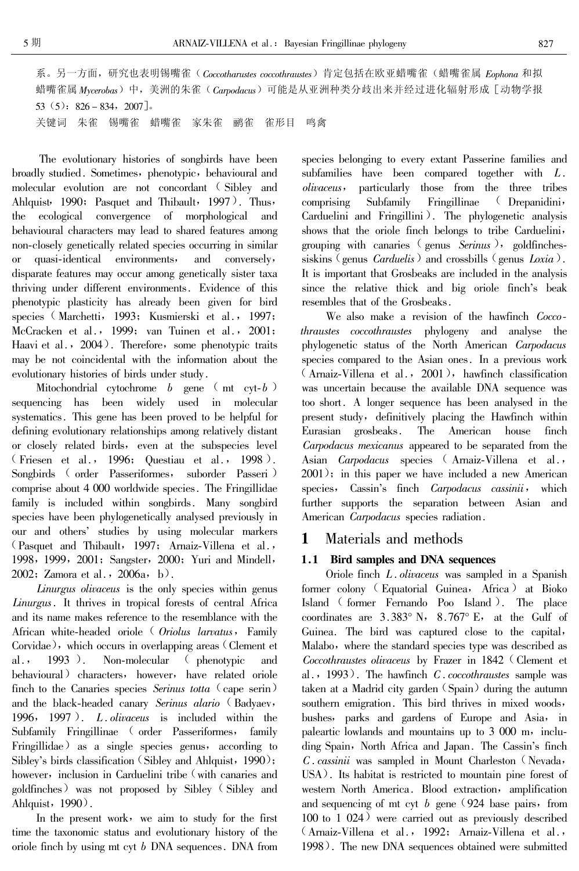系。另一方面,研究也表明锡嘴雀(Coccotharustes coccothraustes)肯定包括在欧亚蜡嘴雀(蜡嘴雀属 Eophona 和拟 蜡嘴雀属 Mycerobas)中, 美洲的朱雀(Carpodacus)可能是从亚洲种类分歧出来并经过进化辐射形成 [动物学报  $53(5): 826 - 834, 2007$ ].

关键词 朱雀 锡嘴雀 蜡嘴雀 家朱雀 鹂雀 雀形目 鸣禽

The evolutionary histories of songbirds have been broadly studied. Sometimes, phenotypic, behavioural and molecular evolution are not concordant (Sibley and Ahlquist, 1990; Pasquet and Thibault, 1997). Thus, the ecological convergence of morphological and behavioural characters may lead to shared features among non-closely genetically related species occurring in similar quasi-identical environments, and conversely, or disparate features may occur among genetically sister taxa thriving under different environments. Evidence of this phenotypic plasticity has already been given for bird species (Marchetti, 1993; Kusmierski et al., 1997; McCracken et al., 1999; van Tuinen et al., 2001; Haavi et al., 2004). Therefore, some phenotypic traits may be not coincidental with the information about the evolutionary histories of birds under study.

Mitochondrial cytochrome  $b$  gene (mt cyt- $b$ ) sequencing has been widely used in molecular systematics. This gene has been proved to be helpful for defining evolutionary relationships among relatively distant or closely related birds, even at the subspecies level (Friesen et al., 1996; Questiau et al., 1998). Songbirds (order Passeriformes, suborder Passeri) comprise about 4 000 worldwide species. The Fringillidae family is included within songbirds. Many songbird species have been phylogenetically analysed previously in our and others' studies by using molecular markers (Pasquet and Thibault, 1997; Arnaiz-Villena et al., 1998, 1999, 2001; Sangster, 2000; Yuri and Mindell, 2002; Zamora et al., 2006a, b).

Linurgus olivaceus is the only species within genus Linurgus. It thrives in tropical forests of central Africa and its name makes reference to the resemblance with the African white-headed oriole ( Oriolus larvatus, Family Corvidae), which occurs in overlapping areas (Clement et  $al.$ , 1993). Non-molecular (phenotypic and behavioural) characters, however, have related oriole finch to the Canaries species Serinus totta  $\left(\right)$  cape serin) and the black-headed canary Serinus alario (Badyaev, 1996, 1997). L. *olivaceus* is included within the Subfamily Fringillinae (order Passeriformes, family Fringillidae) as a single species genus, according to Sibley's birds classification (Sibley and Ahlquist, 1990); however, inclusion in Carduelini tribe (with canaries and goldfinches) was not proposed by Sibley (Sibley and Ahlquist, 1990).

In the present work, we aim to study for the first time the taxonomic status and evolutionary history of the oriole finch by using  $m$ t cyt  $b$  DNA sequences. DNA from species belonging to every extant Passerine families and subfamilies have been compared together with  $L$ . *olivaceus*, particularly those from the three tribes Fringillinae (Drepanidini, comprising Subfamily Carduelini and Fringillini). The phylogenetic analysis shows that the oriole finch belongs to tribe Carduelini, grouping with canaries (genus Serinus), goldfinchessiskins (genus *Carduelis*) and crossbills (genus *Loxia*). It is important that Grosbeaks are included in the analysis since the relative thick and big oriole finch's beak resembles that of the Grosbeaks.

We also make a revision of the hawfinch Coccothraustes coccothraustes phylogeny and analyse the phylogenetic status of the North American Carpodacus species compared to the Asian ones. In a previous work (Arnaiz-Villena et al., 2001), hawfinch classification was uncertain because the available DNA sequence was too short. A longer sequence has been analysed in the present study, definitively placing the Hawfinch within American house Eurasian grosbeaks. The finch Carpodacus mexicanus appeared to be separated from the Asian *Carpodacus* species (Arnaiz-Villena et al.,  $2001$ ); in this paper we have included a new American species, Cassin's finch Carpodacus cassinii, which further supports the separation between Asian and American Carpodacus species radiation.

#### 1 Materials and methods

# 1.1 Bird samples and DNA sequences

Oriole finch L. olivaceus was sampled in a Spanish former colony (Equatorial Guinea, Africa) at Bioko Island (former Fernando Poo Island). The place coordinates are  $3.383^{\circ}$  N,  $8.767^{\circ}$  E, at the Gulf of Guinea. The bird was captured close to the capital, Malabo, where the standard species type was described as Coccothraustes olivaceus by Frazer in 1842 (Clement et al., 1993). The hawfinch  $C$ . coccothraustes sample was taken at a Madrid city garden (Spain) during the autumn southern emigration. This bird thrives in mixed woods, bushes, parks and gardens of Europe and Asia, in paleartic lowlands and mountains up to 3 000 m, including Spain, North Africa and Japan. The Cassin's finch C. cassinii was sampled in Mount Charleston (Nevada, USA). Its habitat is restricted to mountain pine forest of western North America. Blood extraction, amplification and sequencing of mt cyt  $b$  gene (924 base pairs, from  $100$  to  $1\,024$ ) were carried out as previously described (Arnaiz-Villena et al., 1992; Arnaiz-Villena et al., 1998). The new DNA sequences obtained were submitted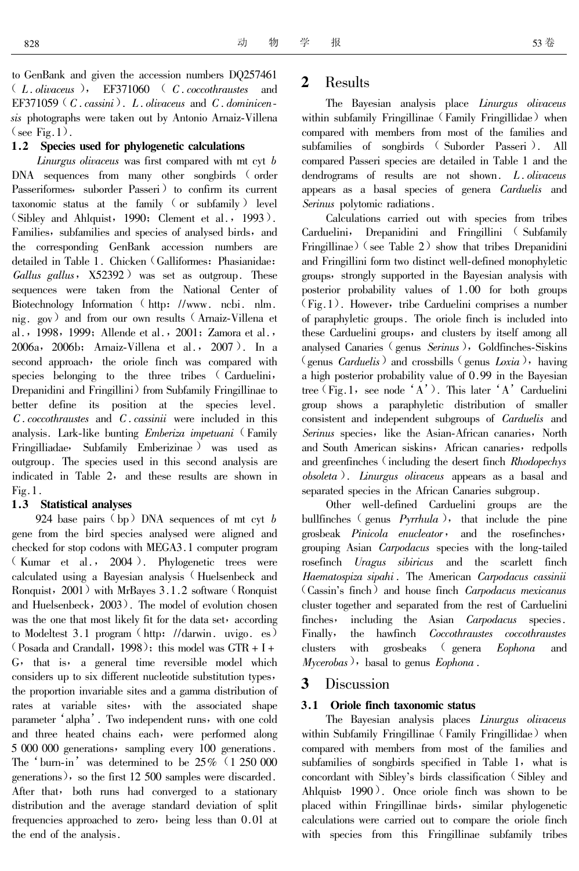to GenBank and given the accession numbers DQ257461  $(L.olivaceus)$ , EF371060  $(C. coccothraustes$  and EF371059 ( $C.$  cassini). L. olivaceus and  $C.$  dominicensis photographs were taken out by Antonio Arnaiz-Villena  $(<sub>see</sub> Fig. 1).$ 

## 1.2 Species used for phylogenetic calculations

Linurgus olivaceus was first compared with mt cyt b DNA sequences from many other songbirds (order Passeriformes, suborder Passeri to confirm its current taxonomic status at the family (or subfamily) level (Sibley and Ahlquist, 1990; Clement et al., 1993). Families, subfamilies and species of analysed birds, and the corresponding GenBank accession numbers are detailed in Table 1. Chicken (Galliformes: Phasianidae: *Gallus gallus*,  $X52392$  was set as outgroup. These sequences were taken from the National Center of Biotechnology Information (http: //www.ncbi.nlm. nig. gov) and from our own results (Arnaiz-Villena et al., 1998, 1999; Allende et al., 2001; Zamora et al., 2006a, 2006b; Arnaiz-Villena et al., 2007). In a second approach, the oriole finch was compared with species belonging to the three tribes (Carduelini, Drepanidini and Fringillini from Subfamily Fringillinae to better define its position at the species level.  $C$ . coccothraustes and  $C$ . cassinii were included in this analysis. Lark-like bunting *Emberiza impetuani* (Family Fringilliadae, Subfamily Emberizinae) was used as outgroup. The species used in this second analysis are indicated in Table 2, and these results are shown in  $Fig.1.$ 

## 1.3 Statistical analyses

924 base pairs  $(bp)$  DNA sequences of mt cyt b gene from the bird species analysed were aligned and checked for stop codons with MEGA3.1 computer program (Kumar et al., 2004). Phylogenetic trees were calculated using a Bayesian analysis (Huelsenbeck and Ronquist,  $2001$  with MrBayes  $3.1.2$  software (Ronquist) and Huelsenbeck, 2003). The model of evolution chosen was the one that most likely fit for the data set, according to Modeltest 3.1 program (http: //darwin. uvigo. es) (Posada and Crandall, 1998); this model was  $GTR + I +$ G, that is, a general time reversible model which considers up to six different nucleotide substitution types, the proportion invariable sites and a gamma distribution of rates at variable sites, with the associated shape parameter 'alpha'. Two independent runs, with one cold and three heated chains each, were performed along 5 000 000 generations, sampling every 100 generations. The 'burn-in' was determined to be  $25\%$  (1 250 000 generations), so the first 12 500 samples were discarded. After that, both runs had converged to a stationary distribution and the average standard deviation of split frequencies approached to zero, being less than 0.01 at the end of the analysis.

#### $\overline{2}$ Results

The Bayesian analysis place Linurgus olivaceus within subfamily Fringillinae (Family Fringillidae) when compared with members from most of the families and subfamilies of songbirds (Suborder Passeri). All compared Passeri species are detailed in Table 1 and the dendrograms of results are not shown. L. olivaceus appears as a basal species of genera Carduelis and Serinus polytomic radiations.

Calculations carried out with species from tribes Carduelini, Drepanidini and Fringillini (Subfamily Fringillinae) (see Table  $2$ ) show that tribes Drepanidini and Fringillini form two distinct well-defined monophyletic groups, strongly supported in the Bayesian analysis with posterior probability values of 1.00 for both groups  $(Fig.1)$ . However, tribe Carduelini comprises a number of paraphyletic groups. The oriole finch is included into these Carduelini groups, and clusters by itself among all analysed Canaries (genus Serinus), Goldfinches-Siskins (genus *Carduelis*) and crossbills (genus *Loxia*), having a high posterior probability value of 0.99 in the Bayesian tree (Fig. 1, see node 'A'). This later 'A' Carduelini group shows a paraphyletic distribution of smaller consistent and independent subgroups of *Carduelis* and Serinus species, like the Asian-African canaries, North and South American siskins, African canaries, redpolls and greenfinches (including the desert finch Rhodopechys  $\alpha$ obsoleta). Linurgus olivaceus appears as a basal and separated species in the African Canaries subgroup.

Other well-defined Carduelini groups are the bullfinches (genus  $Pyrthula$ ), that include the pine grosbeak Pinicola enucleator, and the rosefinches, grouping Asian *Carpodacus* species with the long-tailed rosefinch *Uragus sibiricus* and the scarlett finch Haematospiza sipahi. The American Carpodacus cassinii (Cassin's finch) and house finch Carpodacus mexicanus cluster together and separated from the rest of Carduelini finches, including the Asian *Carpodacus* species. the hawfinch *Coccothraustes coccothraustes* Finally, clusters with grosbeaks (genera Eophona and  $Mycerobas$ ), basal to genus  $Eophona$ .

#### $\mathbf{3}$ **Discussion**

## 3.1 Oriole finch taxonomic status

The Bayesian analysis places Linurgus olivaceus within Subfamily Fringillinae (Family Fringillidae) when compared with members from most of the families and subfamilies of songbirds specified in Table 1, what is concordant with Sibley's birds classification (Sibley and Ahlquist, 1990). Once oriole finch was shown to be placed within Fringillinae birds, similar phylogenetic calculations were carried out to compare the oriole finch with species from this Fringillinae subfamily tribes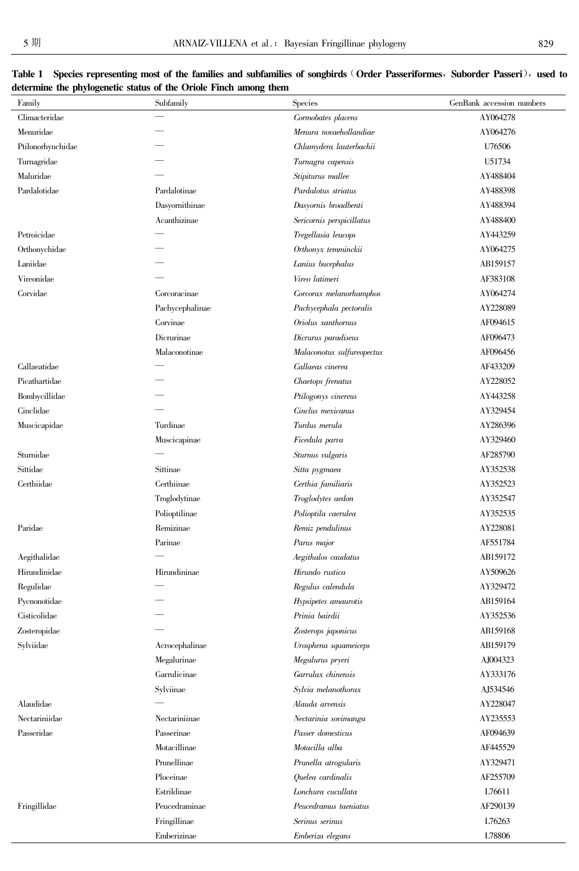| Family            | o<br>Subfamily  | Species                    | GenBank accession numbers |
|-------------------|-----------------|----------------------------|---------------------------|
| Climacteridae     |                 | Cormobates placens         | AY064278                  |
| Menuridae         |                 | Menura novaehollandiae     | AY064276                  |
| Ptilonorhynchidae |                 | Chlamydera lauterbachii    | U76506                    |
| Turnagridae       |                 | Turnagra capensis          | U51734                    |
| Maluridae         |                 | Stipiturus mallee          | AY488404                  |
| Pardalotidae      | Pardalotinae    | Pardalotus striatus        | AY488398                  |
|                   | Dasyornithinae  | Dasyornis broadbenti       | AY488394                  |
|                   | Acanthizinae    | Sericornis perspicillatus  | AY488400                  |
| Petroicidae       |                 | Tregellasia leucops        | AY443259                  |
| Orthonychidae     |                 | Orthonyx temminckii        | AY064275                  |
| Laniidae          |                 | Lanius bucephalus          | AB159157                  |
| Vireonidae        |                 | Vireo latimeri             | AF383108                  |
| Corvidae          | Corcoracinae    | Corcorax melanorhamphos    | AY064274                  |
|                   | Pachycephalinae | Pachycephala pectoralis    | AY228089                  |
|                   | Corvinae        | Oriolus xanthornus         | AF094615                  |
|                   | Dicrurinae      | Dicrurus paradiseus        | AF096473                  |
|                   | Malaconotinae   | Malaconotus sulfureopectus | AF096456                  |
| Callaeatidae      |                 | Callaeas cinerea           | AF433209                  |
| Picathartidae     |                 | Chaetops frenatus          | AY228052                  |
| Bombycillidae     |                 | Ptilogonys cinereus        | AY443258                  |
| Cinclidae         |                 | Cinclus mexicanus          | AY329454                  |
| Muscicapidae      | Turdinae        | Turdus merula              | AY286396                  |
|                   | Muscicapinae    | Ficedula parva             | AY329460                  |
| Sturnidae         |                 | Sturnus vulgaris           | AF285790                  |
| Sittidae          | Sittinae        | Sitta pygmaea              | AY352538                  |
| Certhiidae        | Certhiinae      | Certhia familiaris         | AY352523                  |
|                   | Troglodytinae   | Troglodytes aedon          | AY352547                  |
|                   | Polioptilinae   | Polioptila caerulea        | AY352535                  |
| Paridae           | Remizinae       | Remiz pendulinus           | AY228081                  |
|                   | Parinae         | Parus major                | AF551784                  |
| Aegithalidae      |                 | Aegithalos caudatus        | AB159172                  |
| Hirundinidae      | Hirundininae    | Hirundo rustica            | AY509626                  |
| Regulidae         |                 | Regulus calendula          | AY329472                  |
| Pycnonotidae      |                 | Hypsipetes amaurotis       | AB159164                  |
| Cisticolidae      |                 | Prinia bairdii             | AY352536                  |
| Zosteropidae      |                 | Zosterops japonicus        | AB159168                  |
| Sylviidae         | Acrocephalinae  | Urosphena squameiceps      | AB159179                  |
|                   | Megalurinae     | Megalurus pryeri           | AJ004323                  |
|                   | Garrulicinae    | Garrulax chinensis         | AY333176                  |
|                   | Sylviinae       | Sylvia melanothorax        | AJ534546                  |
| Alaudidae         |                 | Alauda arvensis            | AY228047                  |
| Nectariniidae     | Nectariniinae   | Nectarinia sovimanga       | AY235553                  |
| Passeridae        | Passerinae      | Passer domesticus          | AF094639                  |
|                   | Motacillinae    | Motacilla alba             | AF445529                  |

Prunella atrogularis

Quelea cardinalis

Lonchura cucullata

Serinus serinus

Emberiza elegans

Peucedramus taeniatus

AY329471

AF255709

L76611

AF290139

L76263

L78806

| Table 1 Species representing most of the families and subfamilies of songbirds (Order Passeriformes, Suborder Passeri), used to |  |
|---------------------------------------------------------------------------------------------------------------------------------|--|
| determine the phylogenetic status of the Oriole Finch among them                                                                |  |

 $\label{prop:1} \textbf{Fringillidae}$ 

Prunellinae

 $Ploceinae$ 

Estrildinae

Fringillinae

 $Emberizinae$ 

 $\label{eq:peucedramina} {\rm Peucedraminae}$ 

 $\overline{a}$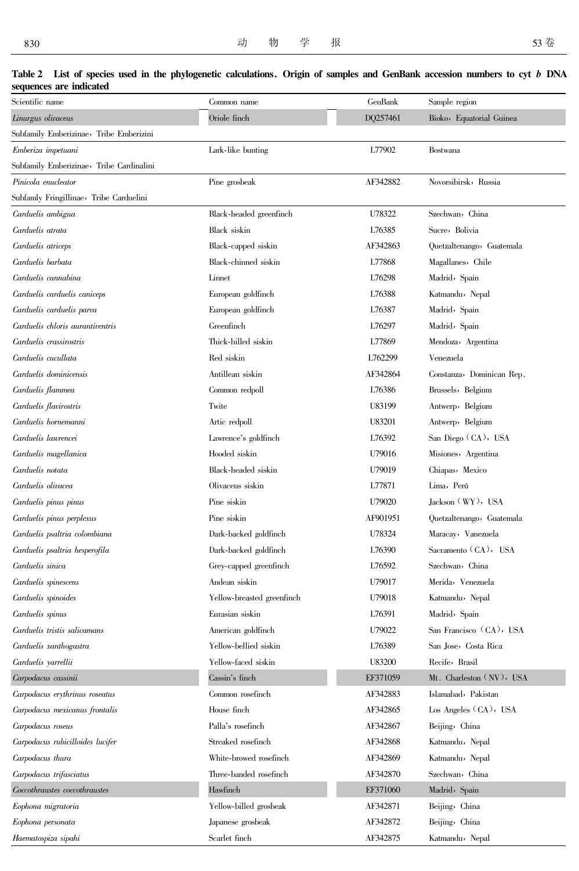Haematospiza sipahi

#### Scientific name Common name GenBank Sample region Oriole finch DO257461 Bioko, Equatorial Guinea Linurgus olivaceus Subfamily Emberizinae, Tribe Emberizini Emberiza impetuani Lark-like bunting L77902 Bostwana Subfamily Emberizinae, Tribe Cardinalini Novorsibirsk, Russia AF342882 Pinicola enucleator Pine grosbeak Subfamly Fringillinae, Tribe Carduelini U78322 Szechwan, China Carduelis ambigua Black-headed greenfinch Carduelis atrata Black siskin L76385 Sucre, Bolivia Carduelis atriceps Black-capped siskin AF342863 Quetzaltenango, Guatemala Carduelis barbata Black-chinned siskin L77868 Magallanes, Chile Carduelis cannabina Linnet L76298 Madrid, Spain Carduelis carduelis caniceps European goldfinch L76388 Katmandu, Nepal Carduelis carduelis parva European goldfinch L76387 Madrid, Spain Carduelis chloris aurantiventris Greenfinch L76297 Madrid, Spain Thick-billed siskin Carduelis crassirostris L77869 Mendoza, Argentina Red siskin Carduelis cucullata L762299 Venezuela Carduelis dominicensis Antillean siskin AF342864 Constanza, Dominican Rep. Carduelis flammea Common redpoll L76386 Brussels, Belgium Carduelis flavirostris Twite U83199 Antwerp, Belgium Carduelis hornemanni U83201 Artic redpoll Antwerp, Belgium Carduelis lawrencei Lawrence's goldfinch L76392 San Diego (CA), USA Carduelis magellanica Hooded siskin U79016 Misiones, Argentina Carduelis notata Black-headed siskin U79019 Chiapas, Mexico Carduelis olivacea Olivaceus siskin **L77871** Lima, Perú Carduelis pinus pinus Pine siskin U79020 Jackson (WY), USA Carduelis pinus perplexus Pine siskin AF901951 Quetzaltenango, Guatemala Dark-backed goldfinch U78324 Maracay, Vanezuela Carduelis psaltria colombiana Sacramento (CA), USA Carduelis psaltria hesperofila Dark-backed goldfinch 1.76390 Szechwan, China Carduelis sinica Grey-capped greenfinch 1.76592 Carduelis spinescens Andean siskin I179017 Merida, Venezuela Yellow-breasted greenfinch Katmandu, Nepal Carduelis spinoides 1179018 Eurasian siskin Madrid, Spain Carduelis spinus L76391 Carduelis tristis salicamans American goldfinch 1179022 San Francisco (CA), USA Yellow-bellied siskin Carduelis xanthogastra 1.76389 San Jose, Costa Rica Yellow-faced siskin U83200 Recife, Brasil Carduelis yarrellii Cassin's finch Mt. Charleston (NV), USA Carpodacus cassinii EF371059 Islamabad, Pakistan Carpodacus erythrinus roseatus Common rosefinch AF342883 Los Angeles (CA), USA House finch AF342865 Carpodacus mexicanus frontalis Carpodacus roseus Palla's rosefinch AF342867 Beijing, China Streaked rosefinch Carpodacus rubicilloides lucifer AF342868 Katmandu, Nepal White-browed rosefinch Carpodacus thura AF342869 Katmandu, Nepal Three-banded rosefinch AF342870 Carpodacus trifasciatus Szechwan, China Coccothraustes coccothraustes Hawfinch EF371060 Madrid, Spain Yellow-billed grosbeak AF342871 Eophona migratoria Beijing, China Japanese grosbeak AF342872 Beijing, China Eophona personata

Scarlet finch

AF342875

Katmandu, Nepal

#### Table 2 List of species used in the phylogenetic calculations. Origin of samples and GenBank accession numbers to cyt b DNA sequences are indicated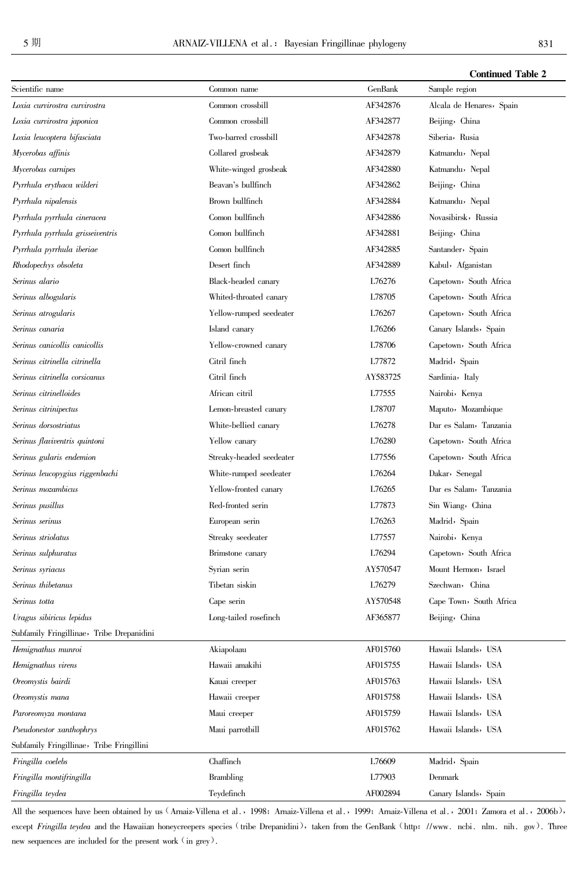| GenBank<br>Scientific name<br>Common name<br>Sample region                                 |  |
|--------------------------------------------------------------------------------------------|--|
| AF342876<br>Loxia curvirostra curvirostra<br>Common crossbill<br>Alcala de Henares, Spain  |  |
| Common crossbill<br>AF342877<br>Beijing, China<br>Loxia curvirostra japonica               |  |
| Two-barred crossbill<br>Siberia, Rusia<br>Loxia leucoptera bifasciata<br>AF342878          |  |
| Collared grosbeak<br>Mycerobas affinis<br>AF342879<br>Katmandu, Nepal                      |  |
| Mycerobas carnipes<br>White-winged grosbeak<br>AF342880<br>Katmandu, Nepal                 |  |
| Beavan's bullfinch<br>AF342862<br>Pyrrhula erythaca wilderi<br>Beijing, China              |  |
| Brown bullfinch<br>Katmandu, Nepal<br>Pyrrhula nipalensis<br>AF342884                      |  |
| Comon bullfinch<br>Novasibirsk, Russia<br>Pyrrhula pyrrhula cineracea<br>AF342886          |  |
| Comon bullfinch<br>AF342881<br>Pyrrhula pyrrhula grisseiventris<br>Beijing, China          |  |
| Comon bullfinch<br>Santander, Spain<br>Pyrrhula pyrrhula iberiae<br>AF342885               |  |
| Desert finch<br>Rhodopechys obsoleta<br>AF342889<br>Kabul, Afganistan                      |  |
| L76276<br>Serinus alario<br>Black-headed canary<br>Capetown, South Africa                  |  |
| Serinus albogularis<br>L78705<br>Whited-throated canary<br>Capetown, South Africa          |  |
| Yellow-rumped seedeater<br>Capetown, South Africa<br>Serinus atrogularis<br>L76267         |  |
| Serinus canaria<br>Island canary<br>L76266<br>Canary Islands, Spain                        |  |
| Serinus canicollis canicollis<br>Yellow-crowned canary<br>L78706<br>Capetown, South Africa |  |
| Serinus citrinella citrinella<br>Citril finch<br>L77872<br>Madrid, Spain                   |  |
| Citril finch<br>Sardinia, Italy<br>Serinus citrinella corsicanus<br>AY583725               |  |
| Serinus citrinelloides<br>African citril<br>L77555<br>Nairobi, Kenya                       |  |
| L78707<br>Maputo, Mozambique<br>Serinus citrinipectus<br>Lemon-breasted canary             |  |
| White-bellied canary<br>Dar es Salam, Tanzania<br>Serinus dorsostriatus<br>L76278          |  |
| Serinus flaviventris quintoni<br>Yellow canary<br>L76280<br>Capetown, South Africa         |  |
| Serinus gularis endemion<br>Streaky-headed seedeater<br>L77556<br>Capetown, South Africa   |  |
| Serinus leucopygius riggenbachi<br>White-rumped seedeater<br>L76264<br>Dakar, Senegal      |  |
| Dar es Salam, Tanzania<br>Serinus mozambicus<br>Yellow-fronted canary<br>L76265            |  |
| Red-fronted serin<br>Serinus pusillus<br>L77873<br>Sin Wiang, China                        |  |
| European serin<br>Madrid, Spain<br>Serinus serinus<br>L76263                               |  |
| Serinus striolatus<br>Streaky seedeater<br>L77557<br>Nairobi, Kenya                        |  |
| Capetown, South Africa<br>Serinus sulphuratus<br>L76294<br>Brimstone canary                |  |
| AY570547<br>Syrian serin<br>Mount Hermon, Israel<br>Serinus syriacus                       |  |
| Tibetan siskin<br>L76279<br>Szechwan, China<br>Serinus thibetanus                          |  |
| AY570548<br>Cape Town, South Africa<br>Serinus totta<br>Cape serin                         |  |
| AF365877<br>Uragus sibiricus lepidus<br>Long-tailed rosefinch<br>Beijing, China            |  |
| Subfamily Fringillinae, Tribe Drepanidini                                                  |  |
| AF015760<br>Hawaii Islands, USA<br>Hemignathus munroi<br>Akiapolaau                        |  |
| Hemignathus virens<br>Hawaii amakihi<br>AF015755<br>Hawaii Islands, USA                    |  |
| Oreomystis bairdi<br>Hawaii Islands, USA<br>Kauai creeper<br>AF015763                      |  |
| AF015758<br>Oreomystis mana<br>Hawaii creeper<br>Hawaii Islands, USA                       |  |
| AF015759<br>Hawaii Islands, USA<br>Paroreomyza montana<br>Maui creeper                     |  |
| Pseudonestor xanthophrys<br>Maui parrotbill<br>AF015762<br>Hawaii Islands, USA             |  |
| Subfamily Fringillinae, Tribe Fringillini                                                  |  |
| Fringilla coelebs<br>Chaffinch<br>L76609<br>Madrid, Spain                                  |  |
| Fringilla montifringilla<br><b>Brambling</b><br>L77903<br>Denmark                          |  |
| Fringilla teydea<br>Teydefinch<br>AF002894<br>Canary Islands, Spain                        |  |

All the sequences have been obtained by us (Arnaiz-Villena et al., 1998; Arnaiz-Villena et al., 1999; Arnaiz-Villena et al., 2001; Zamora et al., 2006b), except Fringilla teydea and the Hawaiian honeycreepers species (tribe Drepanidini), taken from the GenBank (http: //www. ncbi. nlm. nih. gov). Three new sequences are included for the present work  $\lq$  in grey).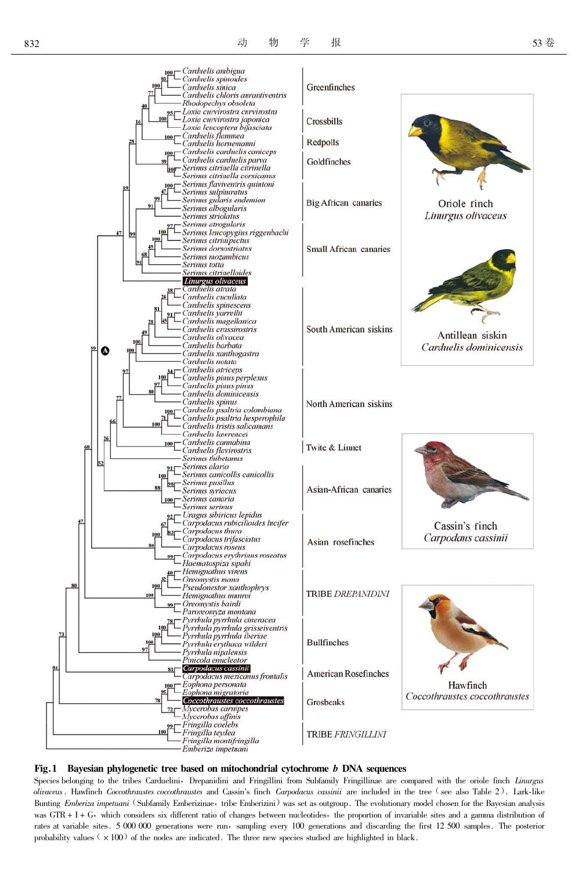



Species belonging to the tribes Carduelini, Drepanidini and Fringillini from Subfamily Fringillinae are compared with the oriole finch Linurgus olivaceus. Hawfinch Coccothraustes coccothraustes and Cassin's finch Carpodacus cassinii are included in the tree (see also Table 2). Lark-like Bunting *Emberiza impetuani* (Subfamily Emberizinae, tribe Emberizini) was set as outgroup. The evolutionary model chosen for the Bayesian analysis was  $GTR + I + G$ , which considers six different ratio of changes between nucleotides, the proportion of invariable sites and a gamma distribution of rates at variable sites. 5 000 000 generations were run, sampling every 100 generations and discarding the first 12 500 samples. The posterior probability values  $(x + 100)$  of the nodes are indicated. The three new species studied are highlighted in black.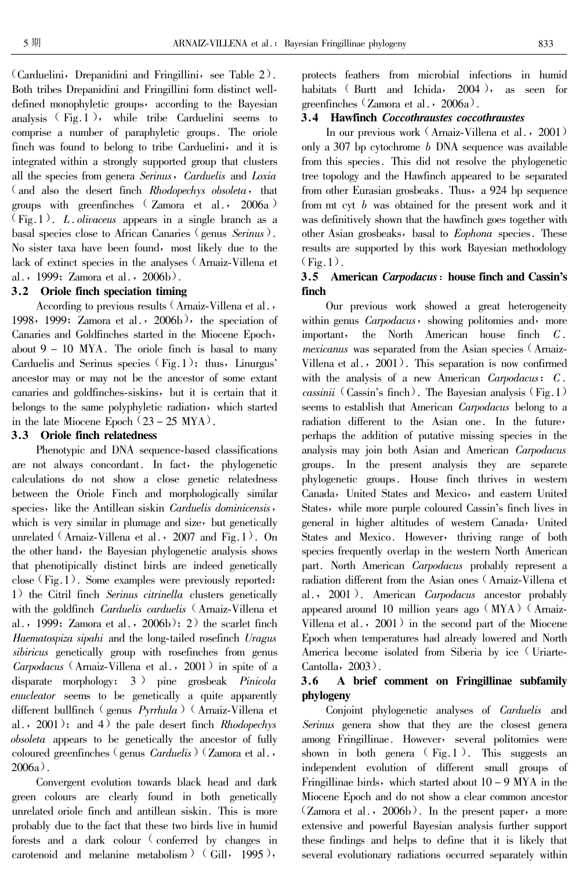(Carduelini, Drepanidini and Fringillini, see Table 2). Both tribes Drepanidini and Fringillini form distinct welldefined monophyletic groups, according to the Bayesian analysis  $(Fig.1)$ , while tribe Carduelini seems to comprise a number of paraphyletic groups. The oriole finch was found to belong to tribe Carduelini, and it is integrated within a strongly supported group that clusters all the species from genera Serinus, Carduelis and Loxia (and also the desert finch Rhodopechys obsoleta, that groups with greenfinches (Zamora et al., 2006a)  $(Fig.1)$ . L. olivaceus appears in a single branch as a basal species close to African Canaries (genus Serinus). No sister taxa have been found, most likely due to the lack of extinct species in the analyses (Arnaiz-Villena et al., 1999; Zamora et al., 2006b).

## 3.2 Oriole finch speciation timing

According to previous results (Arnaiz-Villena et al., 1998, 1999; Zamora et al.,  $2006b$ , the speciation of Canaries and Goldfinches started in the Miocene Epoch, about  $9 - 10$  MYA. The oriole finch is basal to many Carduelis and Serinus species  $(Fig.1)$ ; thus, Linurgus' ancestor may or may not be the ancestor of some extant canaries and goldfinches-siskins, but it is certain that it belongs to the same polyphyletic radiation, which started in the late Miocene Epoch  $(23 – 25 MYA)$ .

# 3.3 Oriole finch relatedness

Phenotypic and DNA sequence-based classifications are not always concordant. In fact, the phylogenetic calculations do not show a close genetic relatedness between the Oriole Finch and morphologically similar species, like the Antillean siskin Carduelis dominicensis, which is very similar in plumage and size, but genetically unrelated  $(Annaz-Villena et al. 2007 and Fig. 1). On$ the other hand, the Bayesian phylogenetic analysis shows that phenotipically distinct birds are indeed genetically close  $(Fig.1)$ . Some examples were previously reported: 1) the Citril finch Serinus citrinella clusters genetically with the goldfinch *Carduelis carduelis* (Arnaiz-Villena et al., 1999; Zamora et al.,  $2006b$ ; 2) the scarlet finch Haematospiza sipahi and the long-tailed rosefinch Uragus sibiricus genetically group with rosefinches from genus *Carpodacus* (Arnaiz-Villena et al., 2001) in spite of a disparate morphology;  $3$  ) pine grosbeak *Pinicola* enucleator seems to be genetically a quite apparently different bullfinch (genus  $Pyrthula$ ) (Arnaiz-Villena et al.,  $2001$ ); and 4) the pale desert finch *Rhodopechys obsoleta* appears to be genetically the ancestor of fully coloured greenfinches (genus Carduelis) (Zamora et al.,  $2006a$ ).

Convergent evolution towards black head and dark green colours are clearly found in both genetically unrelated oriole finch and antillean siskin. This is more probably due to the fact that these two birds live in humid forests and a dark colour (conferred by changes in carotenoid and melanine metabolism) (Gill, 1995),

protects feathers from microbial infections in humid habitats (Burtt and Ichida,  $2004$ , as seen for greenfinches (Zamora et al.,  $2006a$ ).

# 3.4 Hawfinch Coccothraustes coccothraustes

In our previous work (Arnaiz-Villena et al., 2001) only a 307 bp cytochrome b DNA sequence was available from this species. This did not resolve the phylogenetic tree topology and the Hawfinch appeared to be separated from other Eurasian grosbeaks. Thus, a 924 bp sequence from mt cyt  $b$  was obtained for the present work and it was definitively shown that the hawfinch goes together with other Asian grosbeaks, basal to *Eophona* species. These results are supported by this work Bayesian methodology  $(Fig.1)$ .

#### $3.5$ American Carpodacus: house finch and Cassin's finch

Our previous work showed a great heterogeneity within genus *Carpodacus*, showing politomies and, more the North American house finch  $C$ . important, *mexicanus* was separated from the Asian species (Armaiz-Villena et al.,  $2001$ ). This separation is now confirmed with the analysis of a new American Carpodacus:  $C$ . cassinii (Cassin's finch). The Bayesian analysis (Fig. 1) seems to establish that American Carpodacus belong to a radiation different to the Asian one. In the future, perhaps the addition of putative missing species in the analysis may join both Asian and American Carpodacus groups. In the present analysis they are separete phylogenetic groups. House finch thrives in western Canada, United States and Mexico, and eastern United States, while more purple coloured Cassin's finch lives in general in higher altitudes of western Canada, United States and Mexico. However, thriving range of both species frequently overlap in the western North American part. North American Carpodacus probably represent a radiation different from the Asian ones (Arnaiz-Villena et al.,  $2001$ ). American *Carpodacus* ancestor probably appeared around 10 million years ago  $(MYA)$  (Arnaiz-Villena et al.,  $2001$  in the second part of the Miocene Epoch when temperatures had already lowered and North America become isolated from Siberia by ice (Uriarte-Cantolla,  $2003$ ).

### A brief comment on Fringillinae subfamily  $3.6$ phylogeny

Conjoint phylogenetic analyses of *Carduelis* and Serinus genera show that they are the closest genera among Fringillinae. However, several politomies were shown in both genera  $(Fig.1)$ . This suggests an independent evolution of different small groups of Fringillinae birds, which started about  $10 - 9$  MYA in the Miocene Epoch and do not show a clear common ancestor  $(Zamora et al., 2006b)$ . In the present paper, a more extensive and powerful Bayesian analysis further support these findings and helps to define that it is likely that several evolutionary radiations occurred separately within